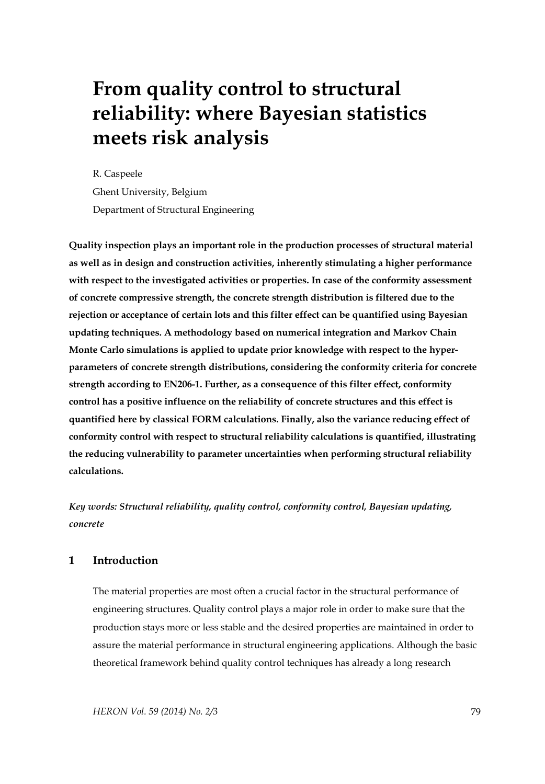# **From quality control to structural reliability: where Bayesian statistics meets risk analysis**

R. Caspeele Ghent University, Belgium Department of Structural Engineering

**Quality inspection plays an important role in the production processes of structural material as well as in design and construction activities, inherently stimulating a higher performance with respect to the investigated activities or properties. In case of the conformity assessment of concrete compressive strength, the concrete strength distribution is filtered due to the rejection or acceptance of certain lots and this filter effect can be quantified using Bayesian updating techniques. A methodology based on numerical integration and Markov Chain Monte Carlo simulations is applied to update prior knowledge with respect to the hyperparameters of concrete strength distributions, considering the conformity criteria for concrete strength according to EN206-1. Further, as a consequence of this filter effect, conformity control has a positive influence on the reliability of concrete structures and this effect is quantified here by classical FORM calculations. Finally, also the variance reducing effect of conformity control with respect to structural reliability calculations is quantified, illustrating the reducing vulnerability to parameter uncertainties when performing structural reliability calculations.** 

*Key words: Structural reliability, quality control, conformity control, Bayesian updating, concrete* 

# **1 Introduction**

The material properties are most often a crucial factor in the structural performance of engineering structures. Quality control plays a major role in order to make sure that the production stays more or less stable and the desired properties are maintained in order to assure the material performance in structural engineering applications. Although the basic theoretical framework behind quality control techniques has already a long research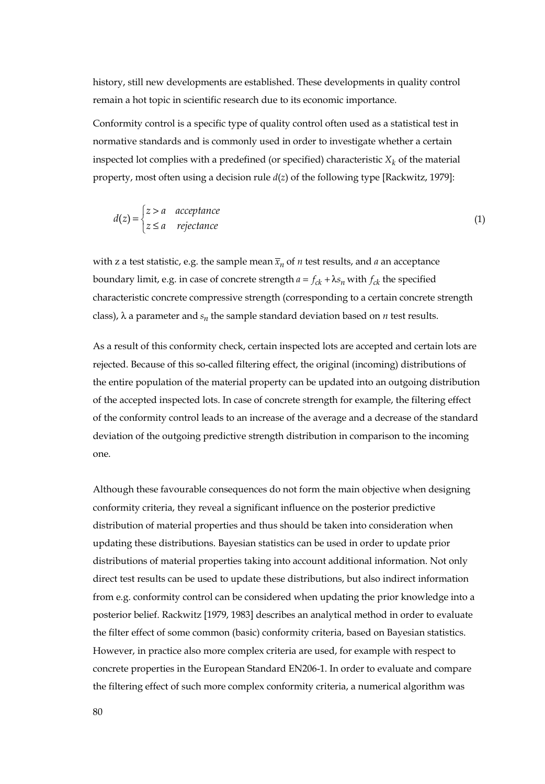history, still new developments are established. These developments in quality control remain a hot topic in scientific research due to its economic importance.

Conformity control is a specific type of quality control often used as a statistical test in normative standards and is commonly used in order to investigate whether a certain inspected lot complies with a predefined (or specified) characteristic  $X_k$  of the material property, most often using a decision rule *d*(*z*) of the following type [Rackwitz, 1979]:

$$
d(z) = \begin{cases} z > a & \text{acceptance} \\ z \le a & \text{rejectance} \end{cases}
$$
 (1)

with z a test statistic, e.g. the sample mean  $\overline{x}_n$  of *n* test results, and *a* an acceptance boundary limit, e.g. in case of concrete strength  $a = f_{ck} + \lambda s_n$  with  $f_{ck}$  the specified characteristic concrete compressive strength (corresponding to a certain concrete strength class),  $\lambda$  a parameter and  $s_n$  the sample standard deviation based on *n* test results.

As a result of this conformity check, certain inspected lots are accepted and certain lots are rejected. Because of this so-called filtering effect, the original (incoming) distributions of the entire population of the material property can be updated into an outgoing distribution of the accepted inspected lots. In case of concrete strength for example, the filtering effect of the conformity control leads to an increase of the average and a decrease of the standard deviation of the outgoing predictive strength distribution in comparison to the incoming one.

Although these favourable consequences do not form the main objective when designing conformity criteria, they reveal a significant influence on the posterior predictive distribution of material properties and thus should be taken into consideration when updating these distributions. Bayesian statistics can be used in order to update prior distributions of material properties taking into account additional information. Not only direct test results can be used to update these distributions, but also indirect information from e.g. conformity control can be considered when updating the prior knowledge into a posterior belief. Rackwitz [1979, 1983] describes an analytical method in order to evaluate the filter effect of some common (basic) conformity criteria, based on Bayesian statistics. However, in practice also more complex criteria are used, for example with respect to concrete properties in the European Standard EN206-1. In order to evaluate and compare the filtering effect of such more complex conformity criteria, a numerical algorithm was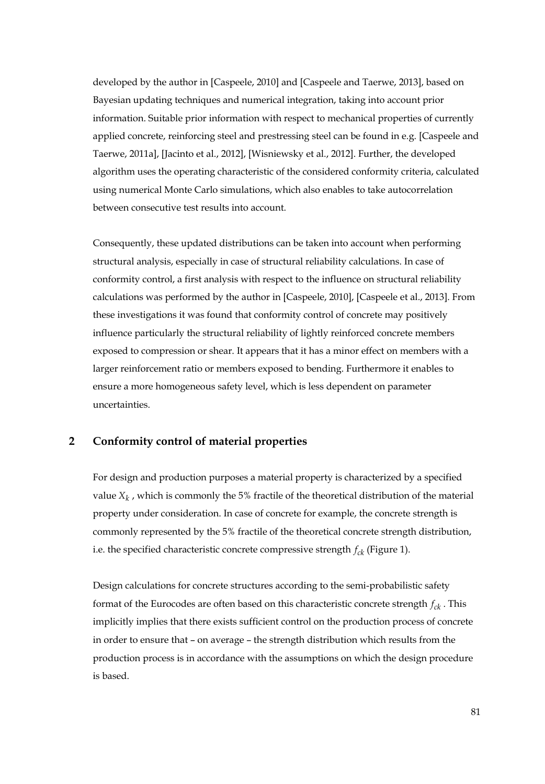developed by the author in [Caspeele, 2010] and [Caspeele and Taerwe, 2013], based on Bayesian updating techniques and numerical integration, taking into account prior information. Suitable prior information with respect to mechanical properties of currently applied concrete, reinforcing steel and prestressing steel can be found in e.g. [Caspeele and Taerwe, 2011a], [Jacinto et al., 2012], [Wisniewsky et al., 2012]. Further, the developed algorithm uses the operating characteristic of the considered conformity criteria, calculated using numerical Monte Carlo simulations, which also enables to take autocorrelation between consecutive test results into account.

Consequently, these updated distributions can be taken into account when performing structural analysis, especially in case of structural reliability calculations. In case of conformity control, a first analysis with respect to the influence on structural reliability calculations was performed by the author in [Caspeele, 2010], [Caspeele et al., 2013]. From these investigations it was found that conformity control of concrete may positively influence particularly the structural reliability of lightly reinforced concrete members exposed to compression or shear. It appears that it has a minor effect on members with a larger reinforcement ratio or members exposed to bending. Furthermore it enables to ensure a more homogeneous safety level, which is less dependent on parameter uncertainties.

# **2 Conformity control of material properties**

For design and production purposes a material property is characterized by a specified value  $X_k$ , which is commonly the 5% fractile of the theoretical distribution of the material property under consideration. In case of concrete for example, the concrete strength is commonly represented by the 5% fractile of the theoretical concrete strength distribution, i.e. the specified characteristic concrete compressive strength  $f_{ck}$  (Figure 1).

Design calculations for concrete structures according to the semi-probabilistic safety format of the Eurocodes are often based on this characteristic concrete strength  $f_{ck}$ . This implicitly implies that there exists sufficient control on the production process of concrete in order to ensure that – on average – the strength distribution which results from the production process is in accordance with the assumptions on which the design procedure is based.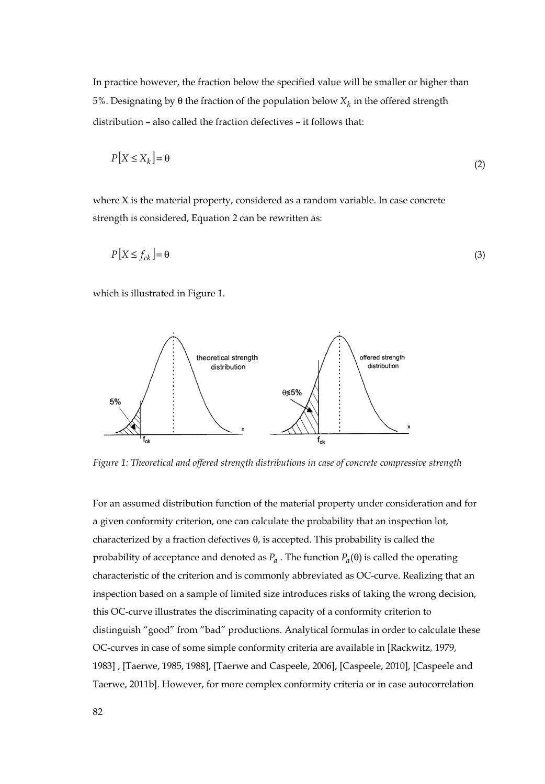In practice however, the fraction below the specified value will be smaller or higher than 5%. Designating by θ the fraction of the population below  $X_k$  in the offered strength distribution – also called the fraction defectives – it follows that:

$$
P[X \le X_k] = \Theta \tag{2}
$$

where X is the material property, considered as a random variable. In case concrete strength is considered, Equation 2 can be rewritten as:

$$
P[X \le f_{ck}] = \Theta \tag{3}
$$

which is illustrated in Figure 1.



*Figure 1: Theoretical and offered strength distributions in case of concrete compressive strength* 

For an assumed distribution function of the material property under consideration and for a given conformity criterion, one can calculate the probability that an inspection lot, characterized by a fraction defectives θ, is accepted. This probability is called the probability of acceptance and denoted as  $P_a$ . The function  $P_a(\theta)$  is called the operating characteristic of the criterion and is commonly abbreviated as OC-curve. Realizing that an inspection based on a sample of limited size introduces risks of taking the wrong decision, this OC-curve illustrates the discriminating capacity of a conformity criterion to distinguish "good" from "bad" productions. Analytical formulas in order to calculate these OC-curves in case of some simple conformity criteria are available in [Rackwitz, 1979, 1983] , [Taerwe, 1985, 1988], [Taerwe and Caspeele, 2006], [Caspeele, 2010], [Caspeele and Taerwe, 2011b]. However, for more complex conformity criteria or in case autocorrelation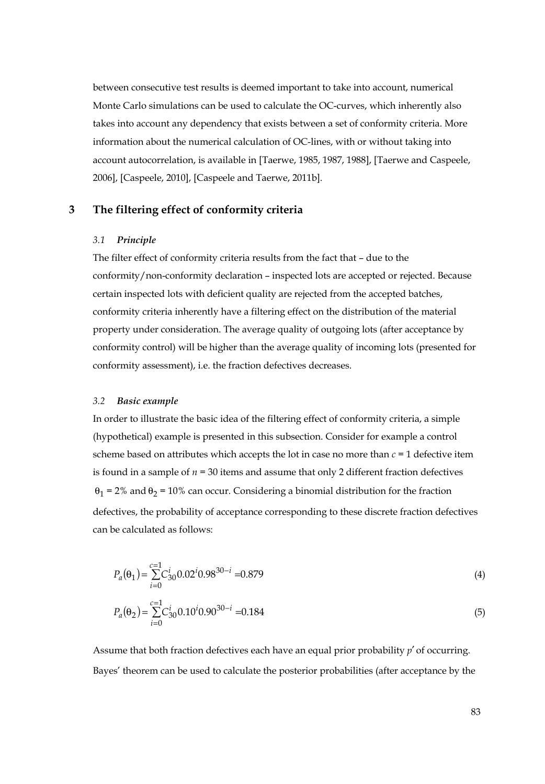between consecutive test results is deemed important to take into account, numerical Monte Carlo simulations can be used to calculate the OC-curves, which inherently also takes into account any dependency that exists between a set of conformity criteria. More information about the numerical calculation of OC-lines, with or without taking into account autocorrelation, is available in [Taerwe, 1985, 1987, 1988], [Taerwe and Caspeele, 2006], [Caspeele, 2010], [Caspeele and Taerwe, 2011b].

### **3 The filtering effect of conformity criteria**

#### *3.1 Principle*

The filter effect of conformity criteria results from the fact that – due to the conformity/non-conformity declaration – inspected lots are accepted or rejected. Because certain inspected lots with deficient quality are rejected from the accepted batches, conformity criteria inherently have a filtering effect on the distribution of the material property under consideration. The average quality of outgoing lots (after acceptance by conformity control) will be higher than the average quality of incoming lots (presented for conformity assessment), i.e. the fraction defectives decreases.

#### *3.2 Basic example*

0

In order to illustrate the basic idea of the filtering effect of conformity criteria, a simple (hypothetical) example is presented in this subsection. Consider for example a control scheme based on attributes which accepts the lot in case no more than *c* = 1 defective item is found in a sample of  $n = 30$  items and assume that only 2 different fraction defectives  $θ<sub>1</sub> = 2%$  and  $θ<sub>2</sub> = 10%$  can occur. Considering a binomial distribution for the fraction defectives, the probability of acceptance corresponding to these discrete fraction defectives can be calculated as follows:

$$
P_a(\theta_1) = \sum_{i=0}^{c=1} C_{30}^i 0.02^i 0.98^{30-i} = 0.879
$$
\n
$$
P_a(\theta_2) = \sum_{i=0}^{c=1} C_{30}^i 0.10^i 0.90^{30-i} = 0.184
$$
\n(5)

Assume that both fraction defectives each have an equal prior probability *p*′ of occurring. Bayes' theorem can be used to calculate the posterior probabilities (after acceptance by the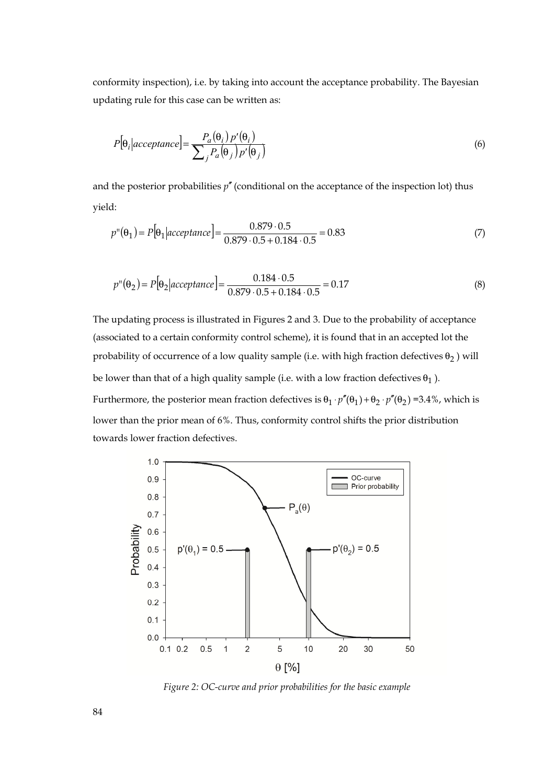conformity inspection), i.e. by taking into account the acceptance probability. The Bayesian updating rule for this case can be written as:

$$
P[\theta_i|acceptance] = \frac{P_a(\theta_i) p'(\theta_i)}{\sum_j P_a(\theta_j) p'(\theta_j)}
$$
\n(6)

and the posterior probabilities  $p''$  (conditional on the acceptance of the inspection lot) thus yield:

$$
p''(\theta_1) = P[\theta_1 | \text{acceptance}] = \frac{0.879 \cdot 0.5}{0.879 \cdot 0.5 + 0.184 \cdot 0.5} = 0.83 \tag{7}
$$

$$
p''(\theta_2) = P[\theta_2 | \text{acceptance}] = \frac{0.184 \cdot 0.5}{0.879 \cdot 0.5 + 0.184 \cdot 0.5} = 0.17
$$
\n(8)

The updating process is illustrated in Figures 2 and 3. Due to the probability of acceptance (associated to a certain conformity control scheme), it is found that in an accepted lot the probability of occurrence of a low quality sample (i.e. with high fraction defectives  $\theta_2$  ) will be lower than that of a high quality sample (i.e. with a low fraction defectives  $\theta_1$ ). Furthermore, the posterior mean fraction defectives is  $\theta_1 \cdot p''(\theta_1) + \theta_2 \cdot p''(\theta_2) = 3.4\%$ , which is lower than the prior mean of 6%. Thus, conformity control shifts the prior distribution towards lower fraction defectives.



*Figure 2: OC-curve and prior probabilities for the basic example*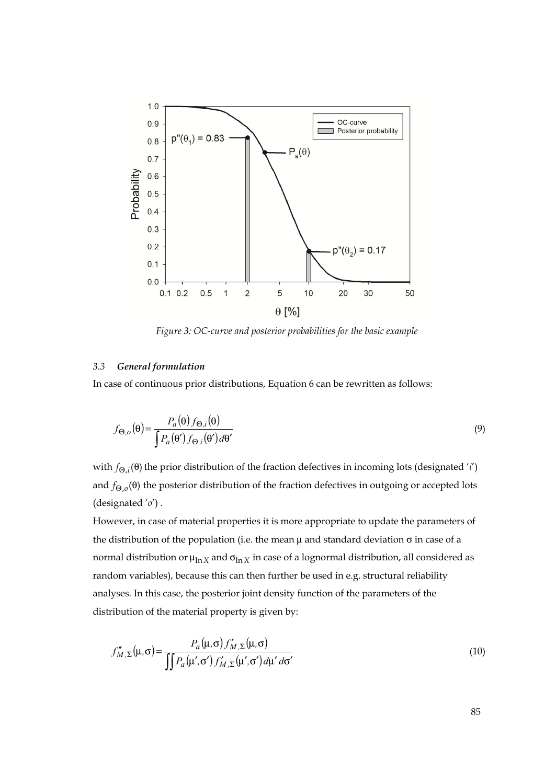

*Figure 3: OC-curve and posterior probabilities for the basic example* 

### *3.3 General formulation*

In case of continuous prior distributions, Equation 6 can be rewritten as follows:

$$
f_{\Theta,o}(\theta) = \frac{P_a(\theta) f_{\Theta,i}(\theta)}{\int P_a(\theta') f_{\Theta,i}(\theta') d\theta'}\tag{9}
$$

with  $f_{\Theta,i}(\theta)$  the prior distribution of the fraction defectives in incoming lots (designated '*i'*) and  $f_{\Theta,o}(\theta)$  the posterior distribution of the fraction defectives in outgoing or accepted lots (designated '*o*') .

However, in case of material properties it is more appropriate to update the parameters of the distribution of the population (i.e. the mean  $\mu$  and standard deviation  $\sigma$  in case of a normal distribution or  $μ_{ln X}$  and  $σ_{ln X}$  in case of a lognormal distribution, all considered as random variables), because this can then further be used in e.g. structural reliability analyses. In this case, the posterior joint density function of the parameters of the distribution of the material property is given by:

$$
f''_{M,\Sigma}(\mu,\sigma) = \frac{P_a(\mu,\sigma) f'_{M,\Sigma}(\mu,\sigma)}{\iint P_a(\mu',\sigma') f'_{M,\Sigma}(\mu',\sigma') d\mu' d\sigma'}
$$
(10)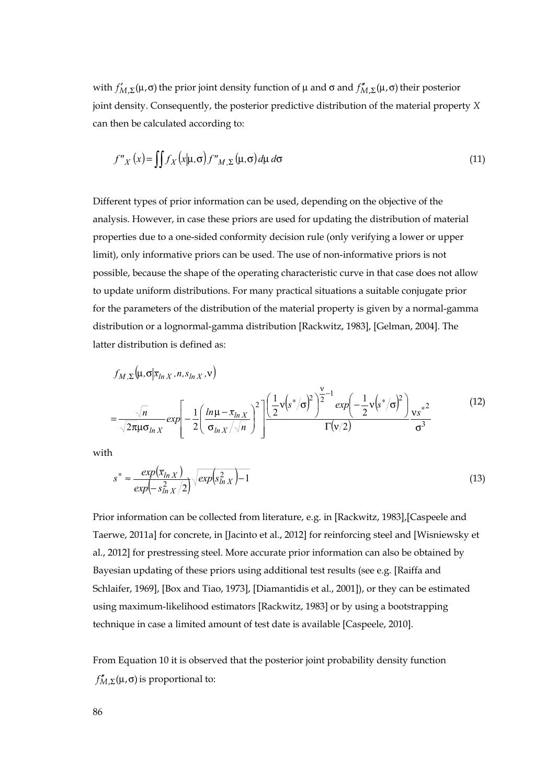with  $f'_{M,\Sigma}(\mu,\sigma)$  the prior joint density function of  $\mu$  and  $\sigma$  and  $f''_{M,\Sigma}(\mu,\sigma)$  their posterior joint density. Consequently, the posterior predictive distribution of the material property *X* can then be calculated according to:

$$
f''_X(x) = \iint f_X(x|\mu, \sigma) f''_{M, \Sigma}(\mu, \sigma) d\mu d\sigma
$$
\n(11)

Different types of prior information can be used, depending on the objective of the analysis. However, in case these priors are used for updating the distribution of material properties due to a one-sided conformity decision rule (only verifying a lower or upper limit), only informative priors can be used. The use of non-informative priors is not possible, because the shape of the operating characteristic curve in that case does not allow to update uniform distributions. For many practical situations a suitable conjugate prior for the parameters of the distribution of the material property is given by a normal-gamma distribution or a lognormal-gamma distribution [Rackwitz, 1983], [Gelman, 2004]. The latter distribution is defined as:

$$
f_{M,\Sigma}(\mu,\sigma|\bar{x}_{ln X},n,s_{ln X},v)
$$
  
=  $\frac{\sqrt{n}}{\sqrt{2\pi\mu\sigma_{ln X}}} exp\left[-\frac{1}{2}\left(\frac{ln\mu-\bar{x}_{ln X}}{\sigma_{ln X}/\sqrt{n}}\right)^{2}\right] \frac{\left(\frac{1}{2}v(s^{*}/\sigma)^{2}\right)^{\nu-1}exp\left(-\frac{1}{2}v(s^{*}/\sigma)^{2}\right)}{\Gamma(v/2)}\frac{vs^{*2}}{\sigma^{3}}$  (12)

with

$$
s^* \approx \frac{\exp(\bar{x}_{\ln X})}{\exp(-s_{\ln X}^2/2)} \sqrt{\exp(s_{\ln X}^2) - 1}
$$
\n(13)

Prior information can be collected from literature, e.g. in [Rackwitz, 1983],[Caspeele and Taerwe, 2011a] for concrete, in [Jacinto et al., 2012] for reinforcing steel and [Wisniewsky et al., 2012] for prestressing steel. More accurate prior information can also be obtained by Bayesian updating of these priors using additional test results (see e.g. [Raiffa and Schlaifer, 1969], [Box and Tiao, 1973], [Diamantidis et al., 2001]), or they can be estimated using maximum-likelihood estimators [Rackwitz, 1983] or by using a bootstrapping technique in case a limited amount of test date is available [Caspeele, 2010].

From Equation 10 it is observed that the posterior joint probability density function  $f''_{M,\Sigma}(\mu,\sigma)$  is proportional to: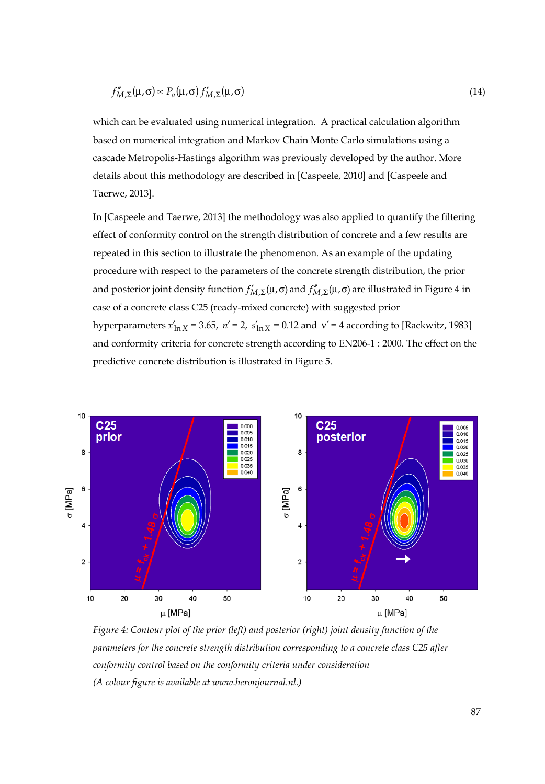$$
f''_{M,\Sigma}(\mu,\sigma) \propto P_a(\mu,\sigma) f'_{M,\Sigma}(\mu,\sigma) \tag{14}
$$

which can be evaluated using numerical integration. A practical calculation algorithm based on numerical integration and Markov Chain Monte Carlo simulations using a cascade Metropolis-Hastings algorithm was previously developed by the author. More details about this methodology are described in [Caspeele, 2010] and [Caspeele and Taerwe, 2013].

In [Caspeele and Taerwe, 2013] the methodology was also applied to quantify the filtering effect of conformity control on the strength distribution of concrete and a few results are repeated in this section to illustrate the phenomenon. As an example of the updating procedure with respect to the parameters of the concrete strength distribution, the prior and posterior joint density function  $f'_{M,\Sigma}(\mu,\sigma)$  and  $f''_{M,\Sigma}(\mu,\sigma)$  are illustrated in Figure 4 in case of a concrete class C25 (ready-mixed concrete) with suggested prior hyperparameters  $\overline{x}_{\ln X}$  = 3.65,  $n'$  = 2,  $s_{\ln X}$  = 0.12 and  $v'$  = 4 according to [Rackwitz, 1983] and conformity criteria for concrete strength according to EN206-1 : 2000. The effect on the predictive concrete distribution is illustrated in Figure 5.



*Figure 4: Contour plot of the prior (left) and posterior (right) joint density function of the parameters for the concrete strength distribution corresponding to a concrete class C25 after conformity control based on the conformity criteria under consideration (A colour figure is available at www.heronjournal.nl.)*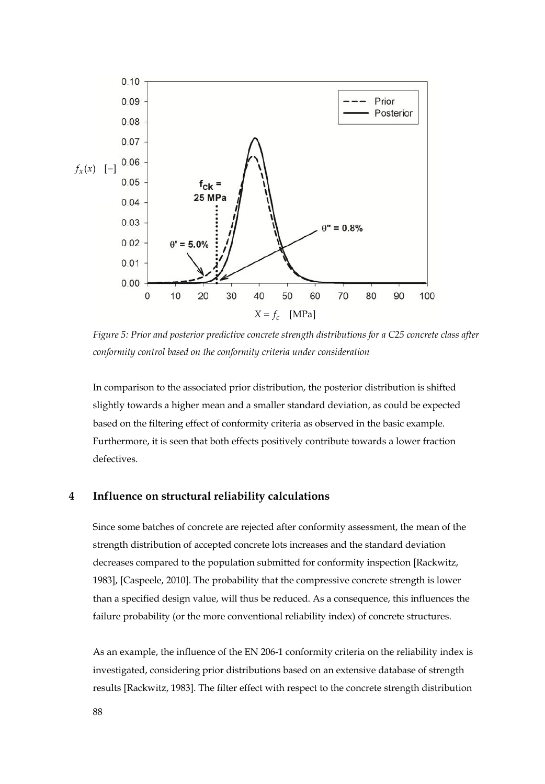

*Figure 5: Prior and posterior predictive concrete strength distributions for a C25 concrete class after conformity control based on the conformity criteria under consideration* 

In comparison to the associated prior distribution, the posterior distribution is shifted slightly towards a higher mean and a smaller standard deviation, as could be expected based on the filtering effect of conformity criteria as observed in the basic example. Furthermore, it is seen that both effects positively contribute towards a lower fraction defectives.

## **4 Influence on structural reliability calculations**

Since some batches of concrete are rejected after conformity assessment, the mean of the strength distribution of accepted concrete lots increases and the standard deviation decreases compared to the population submitted for conformity inspection [Rackwitz, 1983], [Caspeele, 2010]. The probability that the compressive concrete strength is lower than a specified design value, will thus be reduced. As a consequence, this influences the failure probability (or the more conventional reliability index) of concrete structures.

As an example, the influence of the EN 206-1 conformity criteria on the reliability index is investigated, considering prior distributions based on an extensive database of strength results [Rackwitz, 1983]. The filter effect with respect to the concrete strength distribution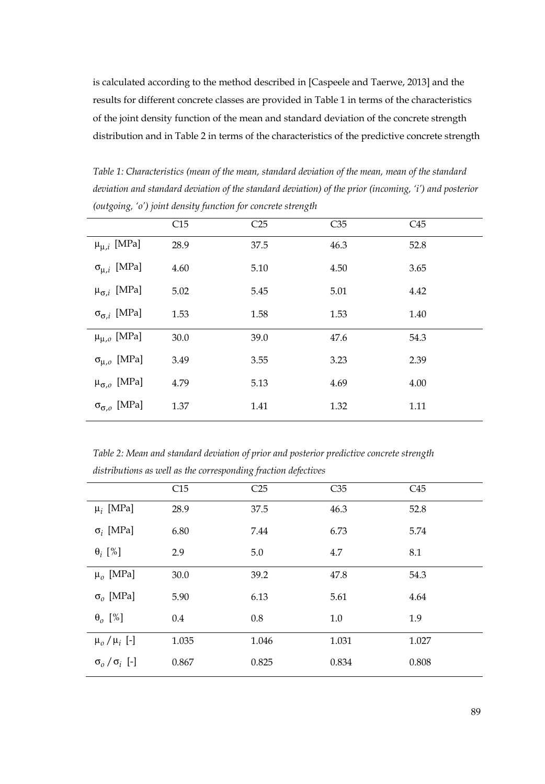is calculated according to the method described in [Caspeele and Taerwe, 2013] and the results for different concrete classes are provided in Table 1 in terms of the characteristics of the joint density function of the mean and standard deviation of the concrete strength distribution and in Table 2 in terms of the characteristics of the predictive concrete strength

*Table 1: Characteristics (mean of the mean, standard deviation of the mean, mean of the standard deviation and standard deviation of the standard deviation) of the prior (incoming, 'i') and posterior (outgoing, 'o') joint density function for concrete strength* 

|                               | C15  | C <sub>25</sub> | C <sub>35</sub> | C45  |  |
|-------------------------------|------|-----------------|-----------------|------|--|
| $\mu_{\mu,i}$ [MPa]           | 28.9 | 37.5            | 46.3            | 52.8 |  |
| $\sigma_{\mu,i}$ [MPa]        | 4.60 | 5.10            | 4.50            | 3.65 |  |
| $\mu_{\sigma,i}$ [MPa]        | 5.02 | 5.45            | 5.01            | 4.42 |  |
| $\sigma_{\sigma,i}$ [MPa]     | 1.53 | 1.58            | 1.53            | 1.40 |  |
| $\upmu_{\mu, \text{o}}$ [MPa] | 30.0 | 39.0            | 47.6            | 54.3 |  |
| $\sigma_{\mu,\sigma}$ [MPa]   | 3.49 | 3.55            | 3.23            | 2.39 |  |
| $\mu_{\sigma,o}$ [MPa]        | 4.79 | 5.13            | 4.69            | 4.00 |  |
| $\sigma_{\sigma,o}$ [MPa]     | 1.37 | 1.41            | 1.32            | 1.11 |  |

*Table 2: Mean and standard deviation of prior and posterior predictive concrete strength distributions as well as the corresponding fraction defectives* 

|                                                  | C15   | C <sub>25</sub> | C <sub>35</sub> | C45   |
|--------------------------------------------------|-------|-----------------|-----------------|-------|
| $\mu_i$ [MPa]                                    | 28.9  | 37.5            | 46.3            | 52.8  |
| $\sigma_i$ [MPa]                                 | 6.80  | 7.44            | 6.73            | 5.74  |
| $\theta_i$ [%]                                   | 2.9   | 5.0             | 4.7             | 8.1   |
| $\mu_o$ [MPa]                                    | 30.0  | 39.2            | 47.8            | 54.3  |
| $\sigma$ <sub>o</sub> [MPa]                      | 5.90  | 6.13            | 5.61            | 4.64  |
| $\theta_o$ [%]                                   | 0.4   | 0.8             | 1.0             | 1.9   |
| $\mu_o / \mu_i$ [-]                              | 1.035 | 1.046           | 1.031           | 1.027 |
| $\sigma$ <sub>o</sub> $/\sigma$ <sub>i</sub> [-] | 0.867 | 0.825           | 0.834           | 0.808 |
|                                                  |       |                 |                 |       |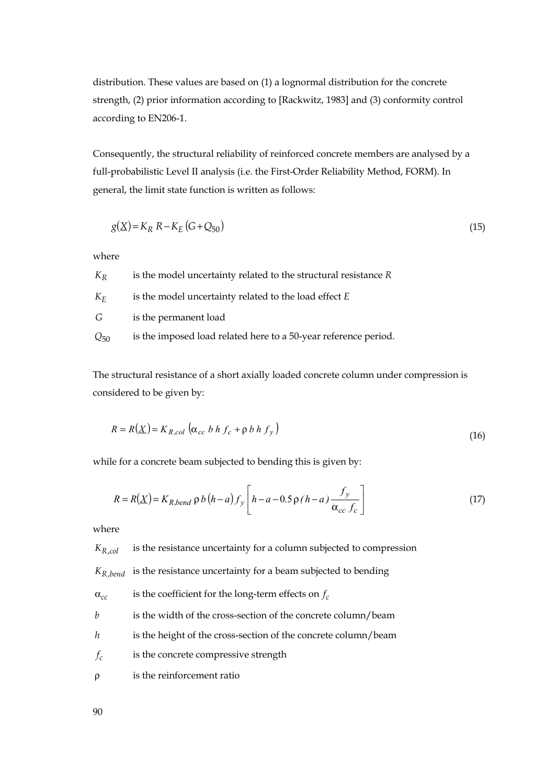distribution. These values are based on (1) a lognormal distribution for the concrete strength, (2) prior information according to [Rackwitz, 1983] and (3) conformity control according to EN206-1.

Consequently, the structural reliability of reinforced concrete members are analysed by a full-probabilistic Level II analysis (i.e. the First-Order Reliability Method, FORM). In general, the limit state function is written as follows:

$$
g(X) = K_R R - K_E (G + Q_{50})
$$
\n(15)

where

| $K_R$    | is the model uncertainty related to the structural resistance R |
|----------|-----------------------------------------------------------------|
| $K_F$    | is the model uncertainty related to the load effect E           |
| G        | is the permanent load                                           |
| $Q_{50}$ | is the imposed load related here to a 50-year reference period. |

The structural resistance of a short axially loaded concrete column under compression is considered to be given by:

$$
R = R(X) = K_{R,col} \left( \alpha_{cc} b h f_c + \rho b h f_y \right)
$$
\n(16)

while for a concrete beam subjected to bending this is given by:

 $\overline{a}$ 

$$
R = R(\underline{X}) = K_{R,bend} \rho b (h-a) f_y \left[ h-a - 0.5 \rho (h-a) \frac{f_y}{\alpha_{cc} f_c} \right]
$$
(17)

where

 $K_{R,col}$  is the resistance uncertainty for a column subjected to compression

 $K_{R \text{ bond}}$  is the resistance uncertainty for a beam subjected to bending

 $\alpha_{cc}$  is the coefficient for the long-term effects on  $f_c$ 

*b* is the width of the cross-section of the concrete column/beam

- *h* is the height of the cross-section of the concrete column/beam
- *f<sub>c</sub>* is the concrete compressive strength

ρ is the reinforcement ratio

90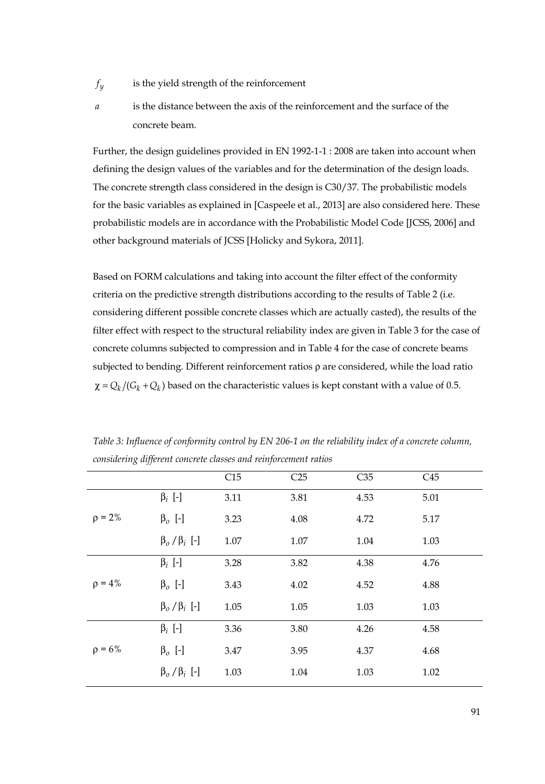- $f_y$  is the yield strength of the reinforcement
- - *a* is the distance between the axis of the reinforcement and the surface of the concrete beam.

Further, the design guidelines provided in EN 1992-1-1 : 2008 are taken into account when defining the design values of the variables and for the determination of the design loads. The concrete strength class considered in the design is C30/37. The probabilistic models for the basic variables as explained in [Caspeele et al., 2013] are also considered here. These probabilistic models are in accordance with the Probabilistic Model Code [JCSS, 2006] and other background materials of JCSS [Holicky and Sykora, 2011].

Based on FORM calculations and taking into account the filter effect of the conformity criteria on the predictive strength distributions according to the results of Table 2 (i.e. considering different possible concrete classes which are actually casted), the results of the filter effect with respect to the structural reliability index are given in Table 3 for the case of concrete columns subjected to compression and in Table 4 for the case of concrete beams subjected to bending. Different reinforcement ratios ρ are considered, while the load ratio  $\chi = Q_k / (G_k + Q_k)$  based on the characteristic values is kept constant with a value of 0.5.

|              |                       | C15  | C <sub>25</sub> | C <sub>35</sub> | C45  |
|--------------|-----------------------|------|-----------------|-----------------|------|
|              | $\beta_i$ [-]         | 3.11 | 3.81            | 4.53            | 5.01 |
| $\rho = 2\%$ | $\beta_o$ [-]         | 3.23 | 4.08            | 4.72            | 5.17 |
|              | $\beta_o/\beta_i$ [-] | 1.07 | 1.07            | 1.04            | 1.03 |
|              | $\beta_i$ [-]         | 3.28 | 3.82            | 4.38            | 4.76 |
| $\rho = 4\%$ | $\beta_o$ [-]         | 3.43 | 4.02            | 4.52            | 4.88 |
|              | $\beta_o/\beta_i$ [-] | 1.05 | 1.05            | 1.03            | 1.03 |
|              | $\beta_i$ [-]         | 3.36 | 3.80            | 4.26            | 4.58 |
| $\rho = 6\%$ | $\beta_o$ [-]         | 3.47 | 3.95            | 4.37            | 4.68 |
|              | $\beta_o/\beta_i$ [-] | 1.03 | 1.04            | 1.03            | 1.02 |

*Table 3: Influence of conformity control by EN 206-1 on the reliability index of a concrete column, considering different concrete classes and reinforcement ratios*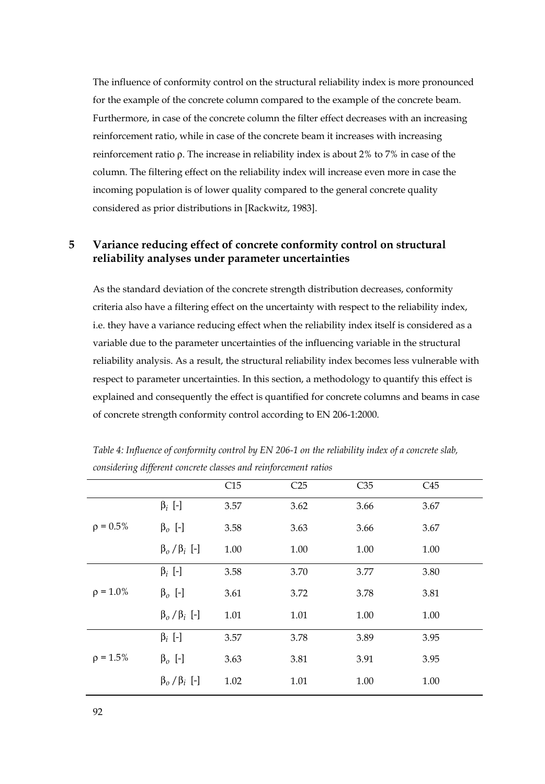The influence of conformity control on the structural reliability index is more pronounced for the example of the concrete column compared to the example of the concrete beam. Furthermore, in case of the concrete column the filter effect decreases with an increasing reinforcement ratio, while in case of the concrete beam it increases with increasing reinforcement ratio ρ. The increase in reliability index is about 2% to 7% in case of the column. The filtering effect on the reliability index will increase even more in case the incoming population is of lower quality compared to the general concrete quality considered as prior distributions in [Rackwitz, 1983].

# **5 Variance reducing effect of concrete conformity control on structural reliability analyses under parameter uncertainties**

As the standard deviation of the concrete strength distribution decreases, conformity criteria also have a filtering effect on the uncertainty with respect to the reliability index, i.e. they have a variance reducing effect when the reliability index itself is considered as a variable due to the parameter uncertainties of the influencing variable in the structural reliability analysis. As a result, the structural reliability index becomes less vulnerable with respect to parameter uncertainties. In this section, a methodology to quantify this effect is explained and consequently the effect is quantified for concrete columns and beams in case of concrete strength conformity control according to EN 206-1:2000.

|                |                       | C15  | C <sub>25</sub> | C35  | C45  |
|----------------|-----------------------|------|-----------------|------|------|
|                | $\beta_i$ [-]         | 3.57 | 3.62            | 3.66 | 3.67 |
| $\rho = 0.5\%$ | $\beta_o$ [-]         | 3.58 | 3.63            | 3.66 | 3.67 |
|                | $\beta_o/\beta_i$ [-] | 1.00 | 1.00            | 1.00 | 1.00 |
|                | $\beta_i$ [-]         | 3.58 | 3.70            | 3.77 | 3.80 |
| $\rho = 1.0\%$ | $\beta_o$ [-]         | 3.61 | 3.72            | 3.78 | 3.81 |
|                | $\beta_o/\beta_i$ [-] | 1.01 | 1.01            | 1.00 | 1.00 |
|                | $\beta_i$ [-]         | 3.57 | 3.78            | 3.89 | 3.95 |
| $\rho = 1.5\%$ | $\beta_o$ [-]         | 3.63 | 3.81            | 3.91 | 3.95 |
|                | $\beta_o/\beta_i$ [-] | 1.02 | 1.01            | 1.00 | 1.00 |

*Table 4: Influence of conformity control by EN 206-1 on the reliability index of a concrete slab, considering different concrete classes and reinforcement ratios*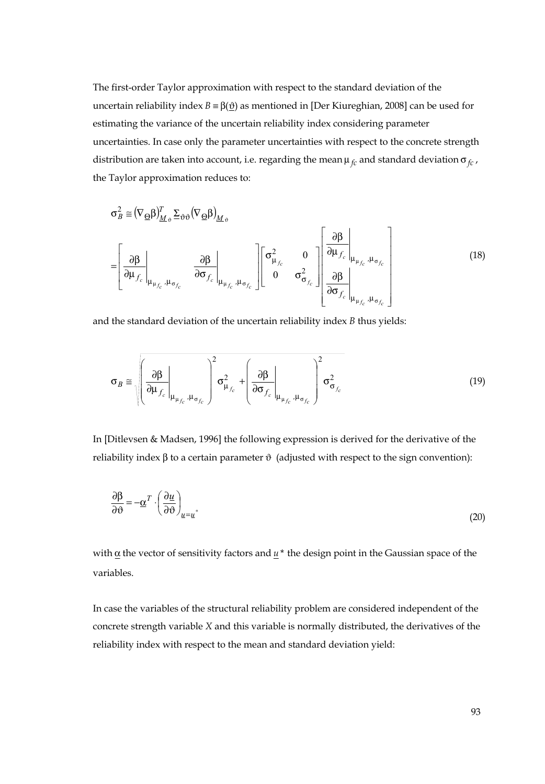The first-order Taylor approximation with respect to the standard deviation of the uncertain reliability index *B* =  $β(θ)$  as mentioned in [Der Kiureghian, 2008] can be used for estimating the variance of the uncertain reliability index considering parameter uncertainties. In case only the parameter uncertainties with respect to the concrete strength distribution are taken into account, i.e. regarding the mean  $\mu_{fc}$  and standard deviation  $\sigma_{fc}$ , the Taylor approximation reduces to:

$$
\sigma_B^2 \approx (\nabla_{\underline{\Theta}} \beta)_{\underline{M}_{\phi}}^T \Sigma_{\partial \partial} (\nabla_{\underline{\Theta}} \beta)_{\underline{M}_{\phi}}
$$
\n
$$
= \left[ \frac{\partial \beta}{\partial \mu_{f_c}} \bigg|_{\mu_{\mu_{f_c}}, \mu_{\sigma_{f_c}}} \frac{\partial \beta}{\partial \sigma_{f_c}} \bigg|_{\mu_{\mu_{f_c}}, \mu_{\sigma_{f_c}}} \right] \left[ \frac{\sigma_{\mu_{f_c}}^2}{\sigma_{\sigma_{f_c}}^2} \frac{0}{\sigma_{\sigma_{f_c}}^2} \right] \left[ \frac{\partial \beta}{\partial \sigma_{f_c}} \bigg|_{\mu_{\mu_{f_c}}, \mu_{\sigma_{f_c}}} \right]
$$
\n(18)

and the standard deviation of the uncertain reliability index *B* thus yields:

$$
\sigma_B \approx \sqrt{\left(\frac{\partial \beta}{\partial \mu_{f_c}}\bigg|_{\mu_{\mu_{f_c}},\mu_{\sigma_{f_c}}}\right)^2 \sigma_{\mu_{f_c}}^2 + \left(\frac{\partial \beta}{\partial \sigma_{f_c}}\bigg|_{\mu_{\mu_{f_c}},\mu_{\sigma_{f_c}}}\right)^2 \sigma_{\sigma_{f_c}}^2}
$$
(19)

In [Ditlevsen & Madsen, 1996] the following expression is derived for the derivative of the reliability index β to a certain parameter  $\vartheta$  (adjusted with respect to the sign convention):

$$
\frac{\partial \beta}{\partial \vartheta} = -\underline{\alpha}^T \cdot \left(\frac{\partial u}{\partial \vartheta}\right)_{u=u^*}
$$
\n(20)

with  $\alpha$  the vector of sensitivity factors and  $u^*$  the design point in the Gaussian space of the variables.

In case the variables of the structural reliability problem are considered independent of the concrete strength variable *X* and this variable is normally distributed, the derivatives of the reliability index with respect to the mean and standard deviation yield: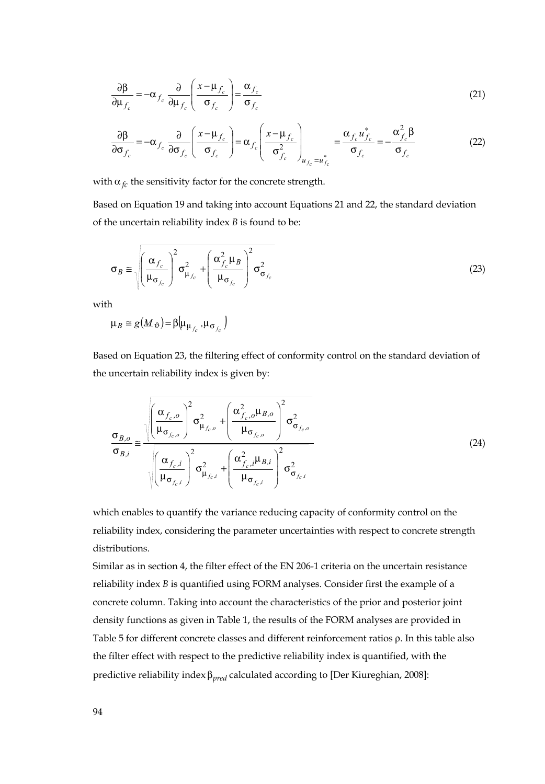$$
\frac{\partial \beta}{\partial \mu_{f_c}} = -\alpha_{f_c} \frac{\partial}{\partial \mu_{f_c}} \left( \frac{x - \mu_{f_c}}{\sigma_{f_c}} \right) = \frac{\alpha_{f_c}}{\sigma_{f_c}}
$$
(21)

$$
\frac{\partial \beta}{\partial \sigma_{f_c}} = -\alpha_{f_c} \frac{\partial}{\partial \sigma_{f_c}} \left( \frac{x - \mu_{f_c}}{\sigma_{f_c}} \right) = \alpha_{f_c} \left( \frac{x - \mu_{f_c}}{\sigma_{f_c}^2} \right)_{u_{f_c} = u_{f_c}^*} = \frac{\alpha_{f_c} u_{f_c}^*}{\sigma_{f_c}} = -\frac{\alpha_{f_c}^2 \beta}{\sigma_{f_c}}
$$
(22)

with  $\alpha_{fc}$  the sensitivity factor for the concrete strength.

Based on Equation 19 and taking into account Equations 21 and 22, the standard deviation of the uncertain reliability index *B* is found to be:

$$
\sigma_B \approx \sqrt{\left(\frac{\alpha_{f_c}}{\mu_{\sigma_{f_c}}}\right)^2 \sigma_{\mu_{f_c}}^2 + \left(\frac{\alpha_{f_c}^2 \mu_B}{\mu_{\sigma_{f_c}}}\right)^2 \sigma_{\sigma_{f_c}}^2}
$$
(23)

with

 $\mu_B \approx g(\underline{M}_{\vartheta}) = \beta \Big| \mu_{\mu_{f}}$ ,  $\mu_{\sigma_{f}}$ 

Based on Equation 23, the filtering effect of conformity control on the standard deviation of the uncertain reliability index is given by:

$$
\frac{\sigma_{B,o}}{\sigma_{B,i}} \approx \frac{\sqrt{\left(\frac{\alpha_{f_c,o}}{\mu_{\sigma_{f_c,o}}}\right)^2 \sigma_{\mu_{f_c,o}}^2 + \left(\frac{\alpha_{f_c,o}^2 \mu_{B,o}}{\mu_{\sigma_{f_c,o}}}\right)^2 \sigma_{\sigma_{f_c,o}}^2}}{\sqrt{\left(\frac{\alpha_{f_c,i}}{\mu_{\sigma_{f_c,i}}}\right)^2 \sigma_{\mu_{f_c,i}}^2 + \left(\frac{\alpha_{f_c,i}^2 \mu_{B,i}}{\mu_{\sigma_{f_c,i}}}\right)^2 \sigma_{\sigma_{f_c,i}}^2}}
$$
(24)

which enables to quantify the variance reducing capacity of conformity control on the reliability index, considering the parameter uncertainties with respect to concrete strength distributions.

Similar as in section 4, the filter effect of the EN 206-1 criteria on the uncertain resistance reliability index *B* is quantified using FORM analyses. Consider first the example of a concrete column. Taking into account the characteristics of the prior and posterior joint density functions as given in Table 1, the results of the FORM analyses are provided in Table 5 for different concrete classes and different reinforcement ratios ρ. In this table also the filter effect with respect to the predictive reliability index is quantified, with the predictive reliability index β*pred* calculated according to [Der Kiureghian, 2008]: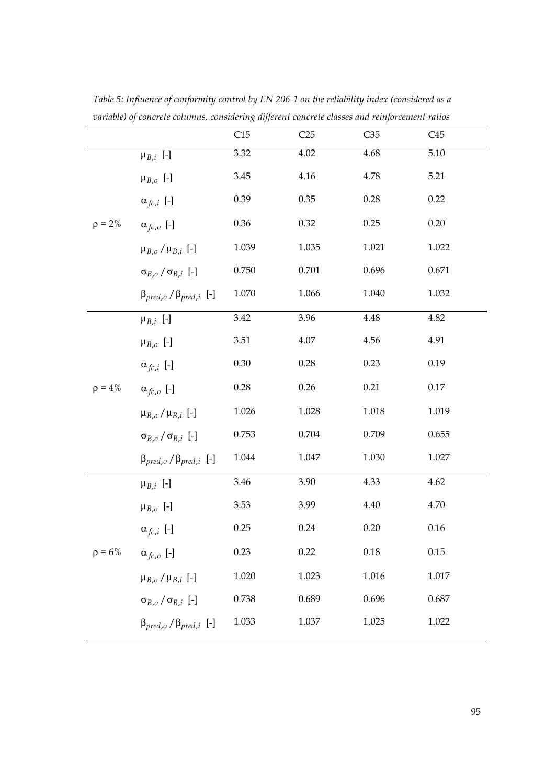|              |                                         | C15      | C25      | $\overline{C35}$ | $\overline{C45}$ |
|--------------|-----------------------------------------|----------|----------|------------------|------------------|
|              | $\mu_{B,i}$ [-]                         | 3.32     | 4.02     | 4.68             | 5.10             |
|              | $\mu_{B,o}$ [-]                         | 3.45     | $4.16\,$ | 4.78             | 5.21             |
|              | $\alpha_{fc,i}$ [-]                     | 0.39     | 0.35     | 0.28             | 0.22             |
| $\rho = 2\%$ | $\alpha_{fc,o}$ [-]                     | $0.36\,$ | 0.32     | 0.25             | 0.20             |
|              | $\mu_{B,o}/\mu_{B,i}$ [-]               | 1.039    | 1.035    | 1.021            | 1.022            |
|              | $\sigma_{B,o}/\sigma_{B,i}$ [-]         | 0.750    | 0.701    | 0.696            | 0.671            |
|              | $\beta_{pred,o}$ / $\beta_{pred,i}$ [-] | 1.070    | 1.066    | 1.040            | 1.032            |
|              | $\mu_{B,i}$ [-]                         | 3.42     | 3.96     | 4.48             | 4.82             |
|              | $\mu_{B,o}$ [-]                         | $3.51\,$ | $4.07\,$ | 4.56             | 4.91             |
|              | $\alpha_{fc,i}$ [-]                     | 0.30     | 0.28     | 0.23             | 0.19             |
| $\rho = 4\%$ | $\alpha_{fc,o}$ [-]                     | 0.28     | 0.26     | 0.21             | 0.17             |
|              | $\mu_{B,o}/\mu_{B,i}$ [-]               | 1.026    | 1.028    | 1.018            | 1.019            |
|              | $\sigma_{B,o}/\sigma_{B,i}$ [-]         | 0.753    | 0.704    | 0.709            | 0.655            |
|              | $\beta_{pred,o}$ / $\beta_{pred,i}$ [-] | 1.044    | 1.047    | 1.030            | 1.027            |
|              | $\mu_{B,i}$ [-]                         | 3.46     | 3.90     | 4.33             | 4.62             |
|              | $\mu_{B,o}$ [-]                         | 3.53     | 3.99     | 4.40             | 4.70             |
|              | $\alpha_{fc,i}$ [-]                     | 0.25     | 0.24     | 0.20             | 0.16             |
| $\rho = 6\%$ | $\alpha_{fc,o}$ [-]                     | 0.23     | 0.22     | 0.18             | 0.15             |
|              | $\mu_{B,o}/\mu_{B,i}$ [-]               | 1.020    | 1.023    | 1.016            | $1.017\,$        |
|              | $\sigma_{B,o}/\sigma_{B,i}$ [-]         | 0.738    | 0.689    | 0.696            | 0.687            |
|              | $\beta_{pred,o}$ / $\beta_{pred,i}$ [-] | 1.033    | 1.037    | 1.025            | 1.022            |

*Table 5: Influence of conformity control by EN 206-1 on the reliability index (considered as a variable) of concrete columns, considering different concrete classes and reinforcement ratios*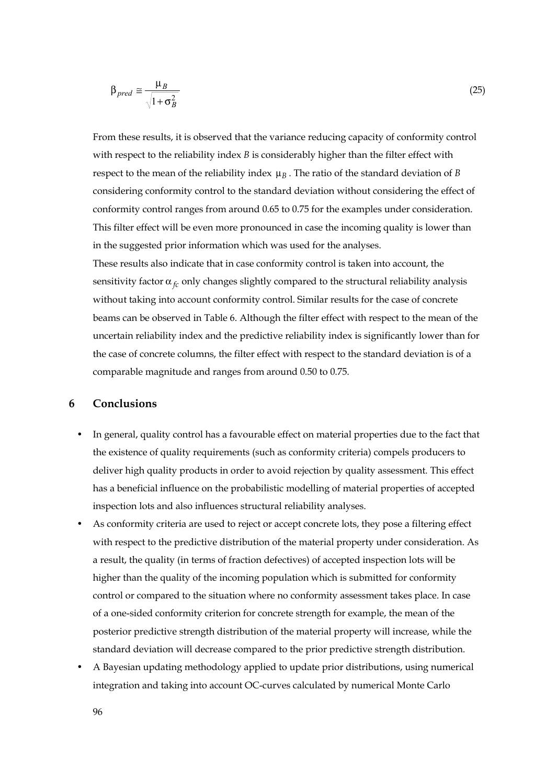$$
\beta_{pred} \cong \frac{\mu_B}{\sqrt{1 + \sigma_B^2}}\tag{25}
$$

From these results, it is observed that the variance reducing capacity of conformity control with respect to the reliability index *B* is considerably higher than the filter effect with respect to the mean of the reliability index  $\mu_B$ . The ratio of the standard deviation of *B* considering conformity control to the standard deviation without considering the effect of conformity control ranges from around 0.65 to 0.75 for the examples under consideration. This filter effect will be even more pronounced in case the incoming quality is lower than in the suggested prior information which was used for the analyses. These results also indicate that in case conformity control is taken into account, the

sensitivity factor  $\alpha_f$  only changes slightly compared to the structural reliability analysis without taking into account conformity control. Similar results for the case of concrete beams can be observed in Table 6. Although the filter effect with respect to the mean of the uncertain reliability index and the predictive reliability index is significantly lower than for the case of concrete columns, the filter effect with respect to the standard deviation is of a comparable magnitude and ranges from around 0.50 to 0.75.

## **6 Conclusions**

- In general, quality control has a favourable effect on material properties due to the fact that the existence of quality requirements (such as conformity criteria) compels producers to deliver high quality products in order to avoid rejection by quality assessment. This effect has a beneficial influence on the probabilistic modelling of material properties of accepted inspection lots and also influences structural reliability analyses.
- As conformity criteria are used to reject or accept concrete lots, they pose a filtering effect with respect to the predictive distribution of the material property under consideration. As a result, the quality (in terms of fraction defectives) of accepted inspection lots will be higher than the quality of the incoming population which is submitted for conformity control or compared to the situation where no conformity assessment takes place. In case of a one-sided conformity criterion for concrete strength for example, the mean of the posterior predictive strength distribution of the material property will increase, while the standard deviation will decrease compared to the prior predictive strength distribution.
- A Bayesian updating methodology applied to update prior distributions, using numerical integration and taking into account OC-curves calculated by numerical Monte Carlo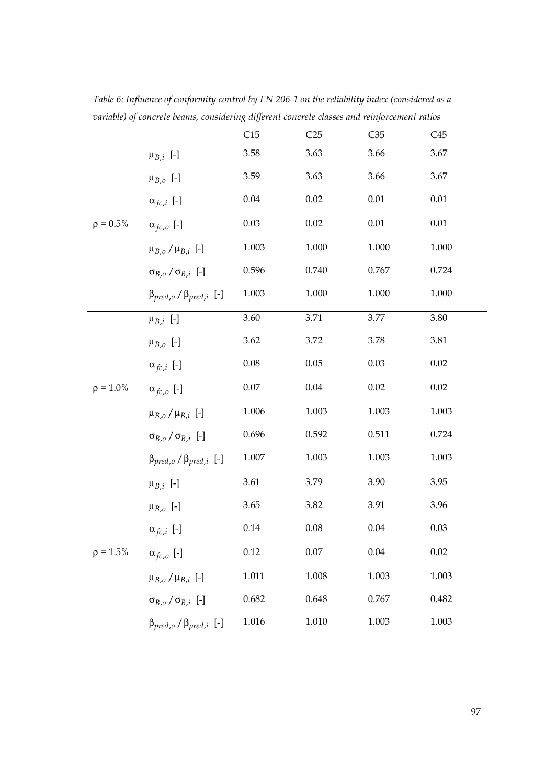|                |                                         | C15       | C25      | $\overline{C35}$ | C45       |
|----------------|-----------------------------------------|-----------|----------|------------------|-----------|
|                | $\mu_{B,i}$ [-]                         | 3.58      | 3.63     | 3.66             | 3.67      |
|                | $\mu_{B,o}$ [-]                         | 3.59      | 3.63     | 3.66             | 3.67      |
|                | $\alpha_{fc,i}$ [-]                     | 0.04      | 0.02     | $0.01\,$         | $0.01\,$  |
| $\rho = 0.5\%$ | $\alpha_{fc,o}$ [-]                     | $0.03\,$  | 0.02     | 0.01             | $0.01\,$  |
|                | $\mu_{B,o}/\mu_{B,i}$ [-]               | 1.003     | 1.000    | 1.000            | 1.000     |
|                | $\sigma_{B,o}/\sigma_{B,i}$ [-]         | 0.596     | 0.740    | 0.767            | 0.724     |
|                | $\beta_{pred,o}$ / $\beta_{pred,i}$ [-] | 1.003     | 1.000    | 1.000            | $1.000\,$ |
|                | $\mu_{B,i}$ [-]                         | 3.60      | 3.71     | 3.77             | 3.80      |
|                | $\mu_{B,o}$ [-]                         | 3.62      | 3.72     | 3.78             | 3.81      |
|                | $\alpha_{fc,i}$ [-]                     | $0.08\,$  | 0.05     | 0.03             | 0.02      |
| $\rho = 1.0\%$ | $\alpha_{fc,o}$ [-]                     | $0.07\,$  | 0.04     | 0.02             | 0.02      |
|                | $\mu_{B,o}/\mu_{B,i}$ [-]               | 1.006     | 1.003    | 1.003            | 1.003     |
|                | $\sigma_{B,o}/\sigma_{B,i}$ [-]         | 0.696     | 0.592    | 0.511            | 0.724     |
|                | $\beta_{pred,o}$ / $\beta_{pred,i}$ [-] | $1.007\,$ | 1.003    | 1.003            | 1.003     |
|                | $\mu_{B,i}$ [-]                         | 3.61      | 3.79     | 3.90             | 3.95      |
|                | $\mu_{B,o}$ [-]                         | 3.65      | 3.82     | 3.91             | 3.96      |
|                | $\alpha_{fc,i}$ [-]                     | 0.14      | 0.08     | 0.04             | 0.03      |
| $p = 1.5%$     | $\alpha_{fc,o}$ [-]                     | 0.12      | $0.07\,$ | 0.04             | 0.02      |
|                | $\mu_{B,o}/\mu_{B,i}$ [-]               | 1.011     | 1.008    | 1.003            | 1.003     |
|                | $\sigma_{B,o}/\sigma_{B,i}$ [-]         | 0.682     | 0.648    | 0.767            | 0.482     |
|                | $\beta_{pred,o}$ / $\beta_{pred,i}$ [-] | 1.016     | 1.010    | 1.003            | 1.003     |

*Table 6: Influence of conformity control by EN 206-1 on the reliability index (considered as a variable) of concrete beams, considering different concrete classes and reinforcement ratios*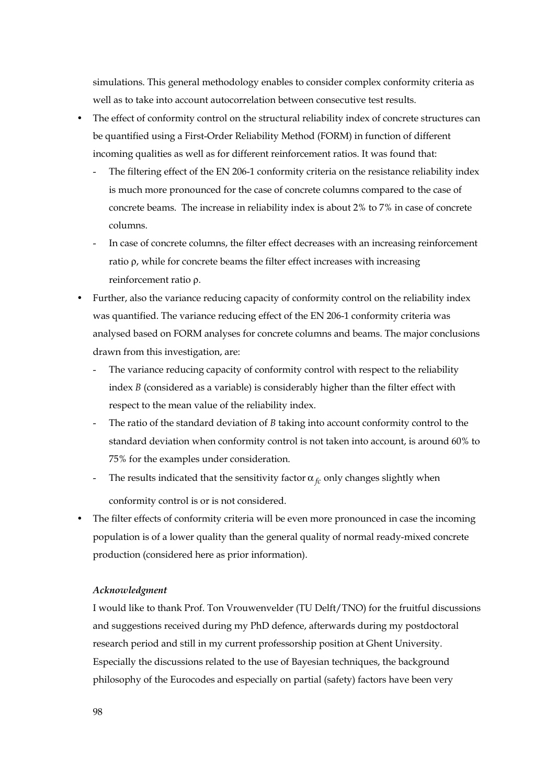simulations. This general methodology enables to consider complex conformity criteria as well as to take into account autocorrelation between consecutive test results.

- The effect of conformity control on the structural reliability index of concrete structures can be quantified using a First-Order Reliability Method (FORM) in function of different incoming qualities as well as for different reinforcement ratios. It was found that:
	- The filtering effect of the EN 206-1 conformity criteria on the resistance reliability index is much more pronounced for the case of concrete columns compared to the case of concrete beams. The increase in reliability index is about 2% to 7% in case of concrete columns.
	- In case of concrete columns, the filter effect decreases with an increasing reinforcement ratio ρ, while for concrete beams the filter effect increases with increasing reinforcement ratio ρ.
- Further, also the variance reducing capacity of conformity control on the reliability index was quantified. The variance reducing effect of the EN 206-1 conformity criteria was analysed based on FORM analyses for concrete columns and beams. The major conclusions drawn from this investigation, are:
	- The variance reducing capacity of conformity control with respect to the reliability index *B* (considered as a variable) is considerably higher than the filter effect with respect to the mean value of the reliability index.
	- The ratio of the standard deviation of *B* taking into account conformity control to the standard deviation when conformity control is not taken into account, is around 60% to 75% for the examples under consideration.
	- The results indicated that the sensitivity factor  $\alpha_{fc}$  only changes slightly when conformity control is or is not considered.
- The filter effects of conformity criteria will be even more pronounced in case the incoming population is of a lower quality than the general quality of normal ready-mixed concrete production (considered here as prior information).

#### *Acknowledgment*

I would like to thank Prof. Ton Vrouwenvelder (TU Delft/TNO) for the fruitful discussions and suggestions received during my PhD defence, afterwards during my postdoctoral research period and still in my current professorship position at Ghent University. Especially the discussions related to the use of Bayesian techniques, the background philosophy of the Eurocodes and especially on partial (safety) factors have been very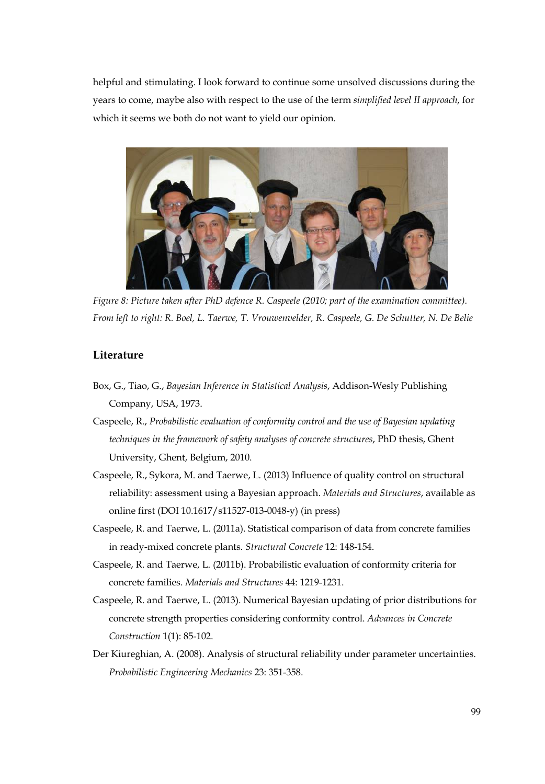helpful and stimulating. I look forward to continue some unsolved discussions during the years to come, maybe also with respect to the use of the term *simplified level II approach*, for which it seems we both do not want to yield our opinion.



*Figure 8: Picture taken after PhD defence R. Caspeele (2010; part of the examination committee). From left to right: R. Boel, L. Taerwe, T. Vrouwenvelder, R. Caspeele, G. De Schutter, N. De Belie* 

## **Literature**

- Box, G., Tiao, G., *Bayesian Inference in Statistical Analysis*, Addison-Wesly Publishing Company, USA, 1973.
- Caspeele, R., *Probabilistic evaluation of conformity control and the use of Bayesian updating techniques in the framework of safety analyses of concrete structures*, PhD thesis, Ghent University, Ghent, Belgium, 2010.
- Caspeele, R., Sykora, M. and Taerwe, L. (2013) Influence of quality control on structural reliability: assessment using a Bayesian approach. *Materials and Structures*, available as online first (DOI 10.1617/s11527-013-0048-y) (in press)
- Caspeele, R. and Taerwe, L. (2011a). Statistical comparison of data from concrete families in ready-mixed concrete plants. *Structural Concrete* 12: 148-154.
- Caspeele, R. and Taerwe, L. (2011b). Probabilistic evaluation of conformity criteria for concrete families. *Materials and Structures* 44: 1219-1231.
- Caspeele, R. and Taerwe, L. (2013). Numerical Bayesian updating of prior distributions for concrete strength properties considering conformity control. *Advances in Concrete Construction* 1(1): 85-102.
- Der Kiureghian, A. (2008). Analysis of structural reliability under parameter uncertainties. *Probabilistic Engineering Mechanics* 23: 351-358.